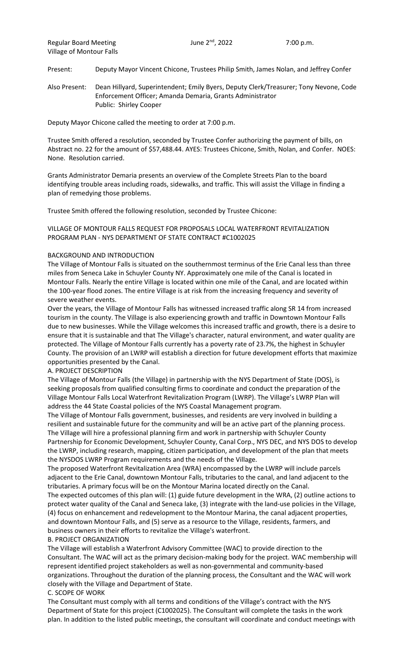Present: Deputy Mayor Vincent Chicone, Trustees Philip Smith, James Nolan, and Jeffrey Confer

Also Present: Dean Hillyard, Superintendent; Emily Byers, Deputy Clerk/Treasurer; Tony Nevone, Code Enforcement Officer; Amanda Demaria, Grants Administrator Public: Shirley Cooper

Deputy Mayor Chicone called the meeting to order at 7:00 p.m.

Trustee Smith offered a resolution, seconded by Trustee Confer authorizing the payment of bills, on Abstract no. 22 for the amount of \$57,488.44. AYES: Trustees Chicone, Smith, Nolan, and Confer. NOES: None. Resolution carried.

Grants Administrator Demaria presents an overview of the Complete Streets Plan to the board identifying trouble areas including roads, sidewalks, and traffic. This will assist the Village in finding a plan of remedying those problems.

Trustee Smith offered the following resolution, seconded by Trustee Chicone:

## VILLAGE OF MONTOUR FALLS REQUEST FOR PROPOSALS LOCAL WATERFRONT REVITALIZATION PROGRAM PLAN - NYS DEPARTMENT OF STATE CONTRACT #C1002025

#### BACKGROUND AND INTRODUCTION

The Village of Montour Falls is situated on the southernmost terminus of the Erie Canal less than three miles from Seneca Lake in Schuyler County NY. Approximately one mile of the Canal is located in Montour Falls. Nearly the entire Village is located within one mile of the Canal, and are located within the 100-year flood zones. The entire Village is at risk from the increasing frequency and severity of severe weather events.

Over the years, the Village of Montour Falls has witnessed increased traffic along SR 14 from increased tourism in the county. The Village is also experiencing growth and traffic in Downtown Montour Falls due to new businesses. While the Village welcomes this increased traffic and growth, there is a desire to ensure that it is sustainable and that The Village's character, natural environment, and water quality are protected. The Village of Montour Falls currently has a poverty rate of 23.7%, the highest in Schuyler County. The provision of an LWRP will establish a direction for future development efforts that maximize opportunities presented by the Canal.

### A. PROJECT DESCRIPTION

The Village of Montour Falls (the Village) in partnership with the NYS Department of State (DOS), is seeking proposals from qualified consulting firms to coordinate and conduct the preparation of the Village Montour Falls Local Waterfront Revitalization Program (LWRP). The Village's LWRP Plan will address the 44 State Coastal policies of the NYS Coastal Management program.

The Village of Montour Falls government, businesses, and residents are very involved in building a resilient and sustainable future for the community and will be an active part of the planning process. The Village will hire a professional planning firm and work in partnership with Schuyler County Partnership for Economic Development, Schuyler County, Canal Corp., NYS DEC, and NYS DOS to develop the LWRP, including research, mapping, citizen participation, and development of the plan that meets the NYSDOS LWRP Program requirements and the needs of the Village.

The proposed Waterfront Revitalization Area (WRA) encompassed by the LWRP will include parcels adjacent to the Erie Canal, downtown Montour Falls, tributaries to the canal, and land adjacent to the tributaries. A primary focus will be on the Montour Marina located directly on the Canal.

The expected outcomes of this plan will: (1) guide future development in the WRA, (2) outline actions to protect water quality of the Canal and Seneca lake, (3) integrate with the land-use policies in the Village, (4) focus on enhancement and redevelopment to the Montour Marina, the canal adjacent properties, and downtown Montour Falls, and (5) serve as a resource to the Village, residents, farmers, and business owners in their efforts to revitalize the Village's waterfront.

### B. PROJECT ORGANIZATION

The Village will establish a Waterfront Advisory Committee (WAC) to provide direction to the Consultant. The WAC will act as the primary decision-making body for the project. WAC membership will represent identified project stakeholders as well as non-governmental and community-based organizations. Throughout the duration of the planning process, the Consultant and the WAC will work closely with the Village and Department of State.

### C. SCOPE OF WORK

The Consultant must comply with all terms and conditions of the Village's contract with the NYS Department of State for this project (C1002025). The Consultant will complete the tasks in the work plan. In addition to the listed public meetings, the consultant will coordinate and conduct meetings with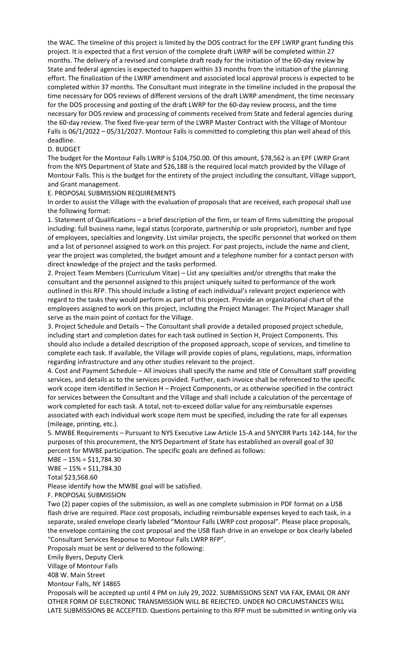the WAC. The timeline of this project is limited by the DOS contract for the EPF LWRP grant funding this project. It is expected that a first version of the complete draft LWRP will be completed within 27 months. The delivery of a revised and complete draft ready for the initiation of the 60-day review by State and federal agencies is expected to happen within 33 months from the initiation of the planning effort. The finalization of the LWRP amendment and associated local approval process is expected to be completed within 37 months. The Consultant must integrate in the timeline included in the proposal the time necessary for DOS reviews of different versions of the draft LWRP amendment, the time necessary for the DOS processing and posting of the draft LWRP for the 60-day review process, and the time necessary for DOS review and processing of comments received from State and federal agencies during the 60-day review. The fixed five-year term of the LWRP Master Contract with the Village of Montour Falls is 06/1/2022 – 05/31/2027. Montour Falls is committed to completing this plan well ahead of this deadline.

#### D. BUDGET

The budget for the Montour Falls LWRP is \$104,750.00. Of this amount, \$78,562 is an EPF LWRP Grant from the NYS Department of State and \$26,188 is the required local match provided by the Village of Montour Falls. This is the budget for the entirety of the project including the consultant, Village support, and Grant management.

E. PROPOSAL SUBMISSION REQUIREMENTS

In order to assist the Village with the evaluation of proposals that are received, each proposal shall use the following format:

1. Statement of Qualifications – a brief description of the firm, or team of firms submitting the proposal including: full business name, legal status (corporate, partnership or sole proprietor), number and type of employees, specialties and longevity. List similar projects, the specific personnel that worked on them and a list of personnel assigned to work on this project. For past projects, include the name and client, year the project was completed, the budget amount and a telephone number for a contact person with direct knowledge of the project and the tasks performed.

2. Project Team Members (Curriculum Vitae) – List any specialties and/or strengths that make the consultant and the personnel assigned to this project uniquely suited to performance of the work outlined in this RFP. This should include a listing of each individual's relevant project experience with regard to the tasks they would perform as part of this project. Provide an organizational chart of the employees assigned to work on this project, including the Project Manager. The Project Manager shall serve as the main point of contact for the Village.

3. Project Schedule and Details – The Consultant shall provide a detailed proposed project schedule, including start and completion dates for each task outlined in Section H, Project Components. This should also include a detailed description of the proposed approach, scope of services, and timeline to complete each task. If available, the Village will provide copies of plans, regulations, maps, information regarding infrastructure and any other studies relevant to the project.

4. Cost and Payment Schedule – All invoices shall specify the name and title of Consultant staff providing services, and details as to the services provided. Further, each invoice shall be referenced to the specific work scope item identified in Section H – Project Components, or as otherwise specified in the contract for services between the Consultant and the Village and shall include a calculation of the percentage of work completed for each task. A total, not-to-exceed dollar value for any reimbursable expenses associated with each individual work scope item must be specified, including the rate for all expenses (mileage, printing, etc.).

5. MWBE Requirements – Pursuant to NYS Executive Law Article 15-A and 5NYCRR Parts 142-144, for the purposes of this procurement, the NYS Department of State has established an overall goal of 30 percent for MWBE participation. The specific goals are defined as follows:

 $MBE - 15\% = $11,784.30$ 

 $WBE - 15% = $11,784.30$ 

Total \$23,568.60

Please identify how the MWBE goal will be satisfied.

F. PROPOSAL SUBMISSION

Two (2) paper copies of the submission, as well as one complete submission in PDF format on a USB flash drive are required. Place cost proposals, including reimbursable expenses keyed to each task, in a separate, sealed envelope clearly labeled "Montour Falls LWRP cost proposal". Please place proposals, the envelope containing the cost proposal and the USB flash drive in an envelope or box clearly labeled "Consultant Services Response to Montour Falls LWRP RFP".

Proposals must be sent or delivered to the following:

Emily Byers, Deputy Clerk

Village of Montour Falls

408 W. Main Street

Montour Falls, NY 14865

Proposals will be accepted up until 4 PM on July 29, 2022. SUBMISSIONS SENT VIA FAX, EMAIL OR ANY OTHER FORM OF ELECTRONIC TRANSMISSION WILL BE REJECTED. UNDER NO CIRCUMSTANCES WILL LATE SUBMISSIONS BE ACCEPTED. Questions pertaining to this RFP must be submitted in writing only via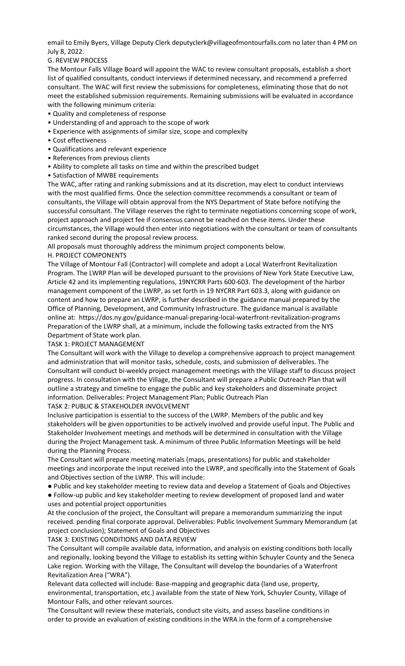email to Emily Byers, Village Deputy Clerk deputyclerk@villageofmontourfalls.com no later than 4 PM on July 8, 2022.

G. REVIEW PROCESS

The Montour Falls Village Board will appoint the WAC to review consultant proposals, establish a short list of qualified consultants, conduct interviews if determined necessary, and recommend a preferred consultant. The WAC will first review the submissions for completeness, eliminating those that do not meet the established submission requirements. Remaining submissions will be evaluated in accordance with the following minimum criteria:

- Quality and completeness of response
- Understanding of and approach to the scope of work
- Experience with assignments of similar size, scope and complexity
- Cost effectiveness
- Qualifications and relevant experience
- References from previous clients
- Ability to complete all tasks on time and within the prescribed budget
- Satisfaction of MWBE requirements

The WAC, after rating and ranking submissions and at its discretion, may elect to conduct interviews with the most qualified firms. Once the selection committee recommends a consultant or team of consultants, the Village will obtain approval from the NYS Department of State before notifying the successful consultant. The Village reserves the right to terminate negotiations concerning scope of work, project approach and project fee if consensus cannot be reached on these items. Under these circumstances, the Village would then enter into negotiations with the consultant or team of consultants ranked second during the proposal review process.

All proposals must thoroughly address the minimum project components below.

# H. PROJECT COMPONENTS

The Village of Montour Fall (Contractor) will complete and adopt a Local Waterfront Revitalization Program. The LWRP Plan will be developed pursuant to the provisions of New York State Executive Law, Article 42 and its implementing regulations, 19NYCRR Parts 600-603. The development of the harbor management component of the LWRP, as set forth in 19 NYCRR Part 603.3, along with guidance on content and how to prepare an LWRP, is further described in the guidance manual prepared by the Office of Planning, Development, and Community Infrastructure. The guidance manual is available online at: https://dos.ny.gov/guidance-manual-preparing-local-waterfront-revitalization-programs Preparation of the LWRP shall, at a minimum, include the following tasks extracted from the NYS Department of State work plan.

# TASK 1: PROJECT MANAGEMENT

The Consultant will work with the Village to develop a comprehensive approach to project management and administration that will monitor tasks, schedule, costs, and submission of deliverables. The Consultant will conduct bi-weekly project management meetings with the Village staff to discuss project progress. In consultation with the Village, the Consultant will prepare a Public Outreach Plan that will outline a strategy and timeline to engage the public and key stakeholders and disseminate project information. Deliverables: Project Management Plan; Public Outreach Plan

TASK 2: PUBLIC & STAKEHOLDER INVOLVEMENT

Inclusive participation is essential to the success of the LWRP. Members of the public and key stakeholders will be given opportunities to be actively involved and provide useful input. The Public and Stakeholder Involvement meetings and methods will be determined in consultation with the Village during the Project Management task. A minimum of three Public Information Meetings will be held during the Planning Process.

The Consultant will prepare meeting materials (maps, presentations) for public and stakeholder meetings and incorporate the input received into the LWRP, and specifically into the Statement of Goals and Objectives section of the LWRP. This will include:

● Public and key stakeholder meeting to review data and develop a Statement of Goals and Objectives

● Follow-up public and key stakeholder meeting to review development of proposed land and water uses and potential project opportunities

At the conclusion of the project, the Consultant will prepare a memorandum summarizing the input received. pending final corporate approval. Deliverables: Public Involvement Summary Memorandum (at project conclusion); Statement of Goals and Objectives

TASK 3: EXISTING CONDITIONS AND DATA REVIEW

The Consultant will compile available data, information, and analysis on existing conditions both locally and regionally, looking beyond the Village to establish its setting within Schuyler County and the Seneca Lake region. Working with the Village, The Consultant will develop the boundaries of a Waterfront Revitalization Area ("WRA").

Relevant data collected will include: Base-mapping and geographic data (land use, property, environmental, transportation, etc.) available from the state of New York, Schuyler County, Village of Montour Falls, and other relevant sources.

The Consultant will review these materials, conduct site visits, and assess baseline conditions in order to provide an evaluation of existing conditions in the WRA in the form of a comprehensive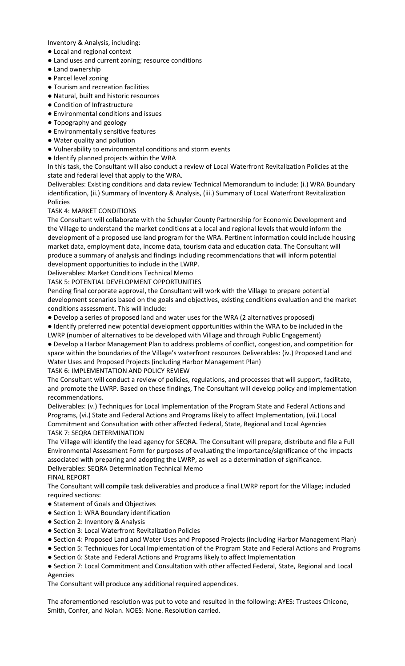Inventory & Analysis, including:

- Local and regional context
- Land uses and current zoning; resource conditions
- Land ownership
- Parcel level zoning
- Tourism and recreation facilities
- Natural, built and historic resources
- Condition of Infrastructure
- Environmental conditions and issues
- Topography and geology
- Environmentally sensitive features
- Water quality and pollution
- Vulnerability to environmental conditions and storm events
- Identify planned projects within the WRA

In this task, the Consultant will also conduct a review of Local Waterfront Revitalization Policies at the state and federal level that apply to the WRA.

Deliverables: Existing conditions and data review Technical Memorandum to include: (i.) WRA Boundary identification, (ii.) Summary of Inventory & Analysis, (iii.) Summary of Local Waterfront Revitalization Policies

# TASK 4: MARKET CONDITIONS

The Consultant will collaborate with the Schuyler County Partnership for Economic Development and the Village to understand the market conditions at a local and regional levels that would inform the development of a proposed use land program for the WRA. Pertinent information could include housing market data, employment data, income data, tourism data and education data. The Consultant will produce a summary of analysis and findings including recommendations that will inform potential development opportunities to include in the LWRP.

Deliverables: Market Conditions Technical Memo

TASK 5: POTENTIAL DEVELOPMENT OPPORTUNITIES

Pending final corporate approval, the Consultant will work with the Village to prepare potential development scenarios based on the goals and objectives, existing conditions evaluation and the market conditions assessment. This will include:

● Develop a series of proposed land and water uses for the WRA (2 alternatives proposed)

● Identify preferred new potential development opportunities within the WRA to be included in the

LWRP (number of alternatives to be developed with Village and through Public Engagement) ● Develop a Harbor Management Plan to address problems of conflict, congestion, and competition for space within the boundaries of the Village's waterfront resources Deliverables: (iv.) Proposed Land and Water Uses and Proposed Projects (including Harbor Management Plan) TASK 6: IMPLEMENTATION AND POLICY REVIEW

The Consultant will conduct a review of policies, regulations, and processes that will support, facilitate, and promote the LWRP. Based on these findings, The Consultant will develop policy and implementation recommendations.

Deliverables: (v.) Techniques for Local Implementation of the Program State and Federal Actions and Programs, (vi.) State and Federal Actions and Programs likely to affect Implementation, (vii.) Local Commitment and Consultation with other affected Federal, State, Regional and Local Agencies TASK 7: SEQRA DETERMINATION

The Village will identify the lead agency for SEQRA. The Consultant will prepare, distribute and file a Full Environmental Assessment Form for purposes of evaluating the importance/significance of the impacts associated with preparing and adopting the LWRP, as well as a determination of significance. Deliverables: SEQRA Determination Technical Memo

FINAL REPORT

The Consultant will compile task deliverables and produce a final LWRP report for the Village; included required sections:

- Statement of Goals and Objectives
- Section 1: WRA Boundary identification
- Section 2: Inventory & Analysis
- Section 3: Local Waterfront Revitalization Policies
- Section 4: Proposed Land and Water Uses and Proposed Projects (including Harbor Management Plan)

● Section 5: Techniques for Local Implementation of the Program State and Federal Actions and Programs ● Section 6: State and Federal Actions and Programs likely to affect Implementation

● Section 7: Local Commitment and Consultation with other affected Federal, State, Regional and Local Agencies

The Consultant will produce any additional required appendices.

The aforementioned resolution was put to vote and resulted in the following: AYES: Trustees Chicone, Smith, Confer, and Nolan. NOES: None. Resolution carried.